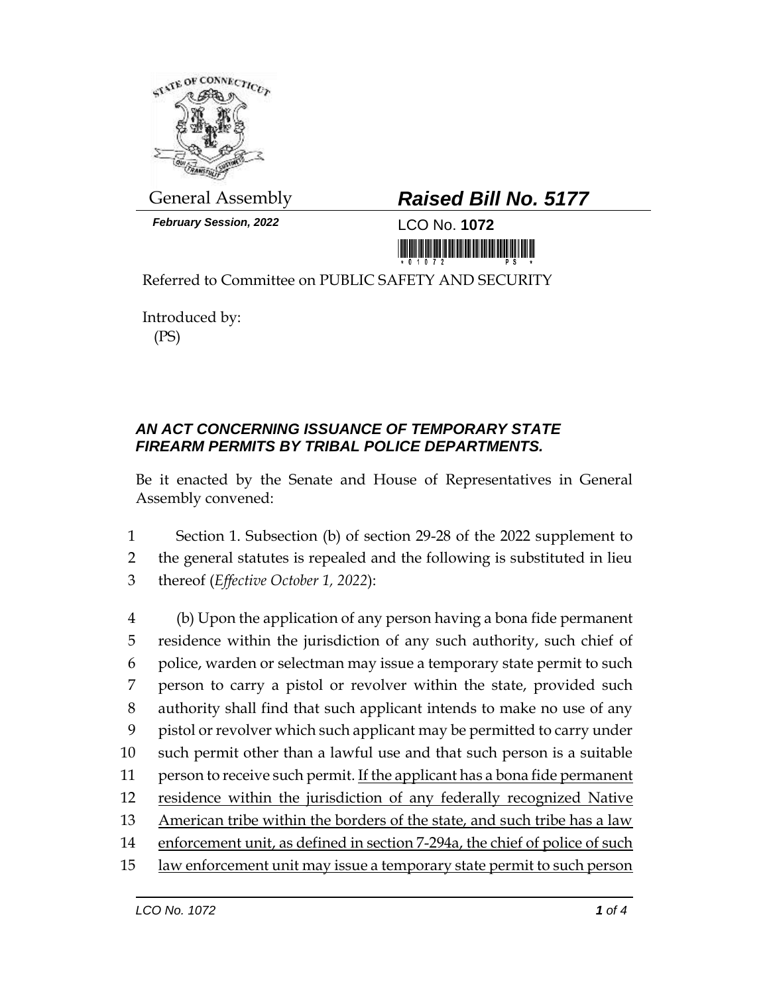

*February Session, 2022* LCO No. **1072**

## General Assembly *Raised Bill No. 5177*

<u> 1999 - An Dùbhlachd Marwrig Marwr a 1999 - An Dùbhlachd Marwr a 1999 - An Dùbhlachd Marwr a 1999 - An Dùbhlach</u>

Referred to Committee on PUBLIC SAFETY AND SECURITY

Introduced by: (PS)

## *AN ACT CONCERNING ISSUANCE OF TEMPORARY STATE FIREARM PERMITS BY TRIBAL POLICE DEPARTMENTS.*

Be it enacted by the Senate and House of Representatives in General Assembly convened:

1 Section 1. Subsection (b) of section 29-28 of the 2022 supplement to 2 the general statutes is repealed and the following is substituted in lieu

3 thereof (*Effective October 1, 2022*):

 (b) Upon the application of any person having a bona fide permanent residence within the jurisdiction of any such authority, such chief of police, warden or selectman may issue a temporary state permit to such person to carry a pistol or revolver within the state, provided such authority shall find that such applicant intends to make no use of any pistol or revolver which such applicant may be permitted to carry under such permit other than a lawful use and that such person is a suitable 11 person to receive such permit. If the applicant has a bona fide permanent 12 residence within the jurisdiction of any federally recognized Native American tribe within the borders of the state, and such tribe has a law enforcement unit, as defined in section 7-294a, the chief of police of such law enforcement unit may issue a temporary state permit to such person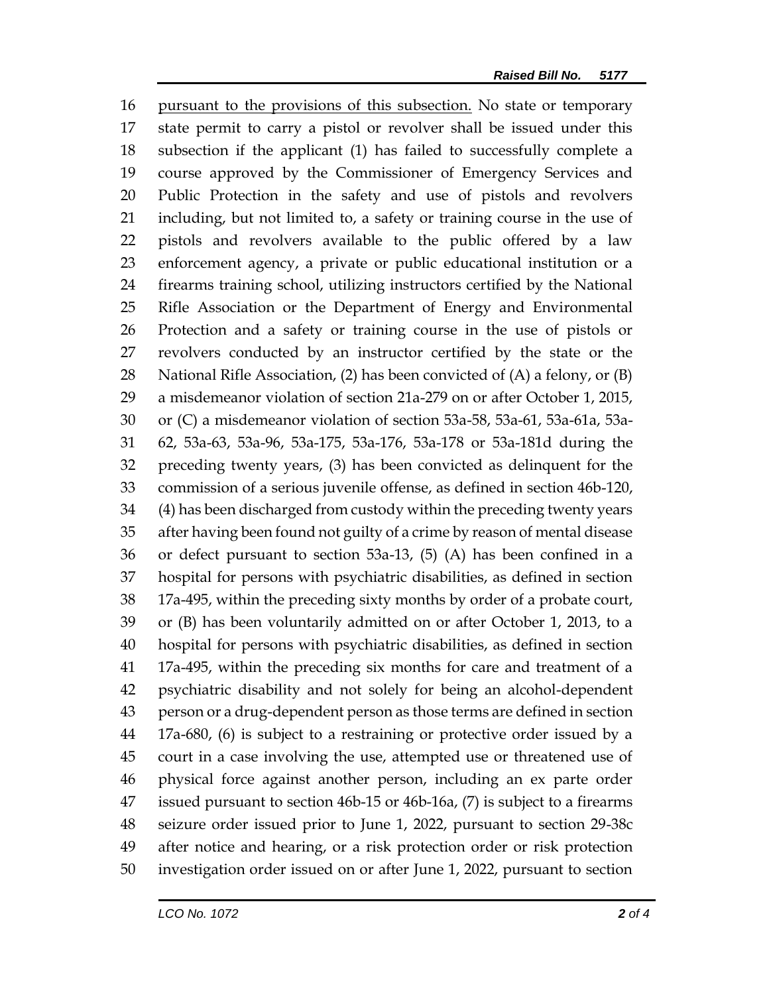pursuant to the provisions of this subsection. No state or temporary state permit to carry a pistol or revolver shall be issued under this subsection if the applicant (1) has failed to successfully complete a course approved by the Commissioner of Emergency Services and Public Protection in the safety and use of pistols and revolvers including, but not limited to, a safety or training course in the use of pistols and revolvers available to the public offered by a law enforcement agency, a private or public educational institution or a firearms training school, utilizing instructors certified by the National Rifle Association or the Department of Energy and Environmental Protection and a safety or training course in the use of pistols or revolvers conducted by an instructor certified by the state or the National Rifle Association, (2) has been convicted of (A) a felony, or (B) a misdemeanor violation of section 21a-279 on or after October 1, 2015, or (C) a misdemeanor violation of section 53a-58, 53a-61, 53a-61a, 53a- 62, 53a-63, 53a-96, 53a-175, 53a-176, 53a-178 or 53a-181d during the preceding twenty years, (3) has been convicted as delinquent for the commission of a serious juvenile offense, as defined in section 46b-120, (4) has been discharged from custody within the preceding twenty years after having been found not guilty of a crime by reason of mental disease or defect pursuant to section 53a-13, (5) (A) has been confined in a hospital for persons with psychiatric disabilities, as defined in section 17a-495, within the preceding sixty months by order of a probate court, or (B) has been voluntarily admitted on or after October 1, 2013, to a hospital for persons with psychiatric disabilities, as defined in section 17a-495, within the preceding six months for care and treatment of a psychiatric disability and not solely for being an alcohol-dependent person or a drug-dependent person as those terms are defined in section 17a-680, (6) is subject to a restraining or protective order issued by a court in a case involving the use, attempted use or threatened use of physical force against another person, including an ex parte order issued pursuant to section 46b-15 or 46b-16a, (7) is subject to a firearms seizure order issued prior to June 1, 2022, pursuant to section 29-38c after notice and hearing, or a risk protection order or risk protection investigation order issued on or after June 1, 2022, pursuant to section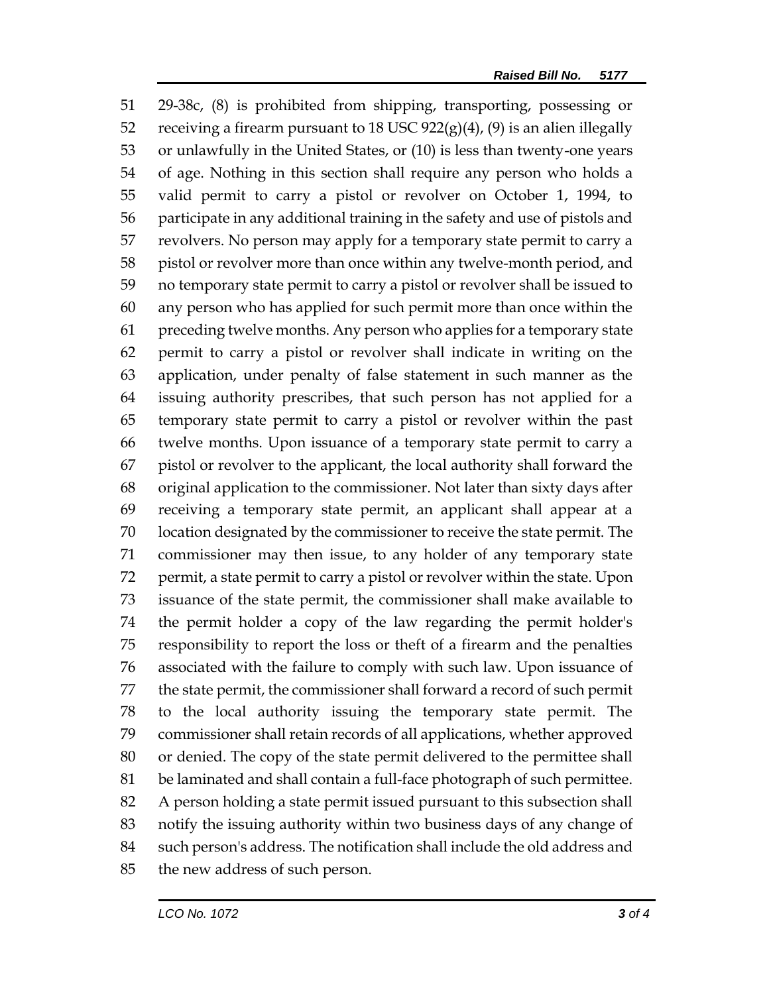29-38c, (8) is prohibited from shipping, transporting, possessing or 52 receiving a firearm pursuant to 18 USC  $922(g)(4)$ , (9) is an alien illegally or unlawfully in the United States, or (10) is less than twenty-one years of age. Nothing in this section shall require any person who holds a valid permit to carry a pistol or revolver on October 1, 1994, to participate in any additional training in the safety and use of pistols and revolvers. No person may apply for a temporary state permit to carry a pistol or revolver more than once within any twelve-month period, and no temporary state permit to carry a pistol or revolver shall be issued to any person who has applied for such permit more than once within the preceding twelve months. Any person who applies for a temporary state permit to carry a pistol or revolver shall indicate in writing on the application, under penalty of false statement in such manner as the issuing authority prescribes, that such person has not applied for a temporary state permit to carry a pistol or revolver within the past twelve months. Upon issuance of a temporary state permit to carry a pistol or revolver to the applicant, the local authority shall forward the original application to the commissioner. Not later than sixty days after receiving a temporary state permit, an applicant shall appear at a location designated by the commissioner to receive the state permit. The commissioner may then issue, to any holder of any temporary state permit, a state permit to carry a pistol or revolver within the state. Upon issuance of the state permit, the commissioner shall make available to the permit holder a copy of the law regarding the permit holder's responsibility to report the loss or theft of a firearm and the penalties associated with the failure to comply with such law. Upon issuance of the state permit, the commissioner shall forward a record of such permit to the local authority issuing the temporary state permit. The commissioner shall retain records of all applications, whether approved or denied. The copy of the state permit delivered to the permittee shall be laminated and shall contain a full-face photograph of such permittee. A person holding a state permit issued pursuant to this subsection shall notify the issuing authority within two business days of any change of such person's address. The notification shall include the old address and the new address of such person.